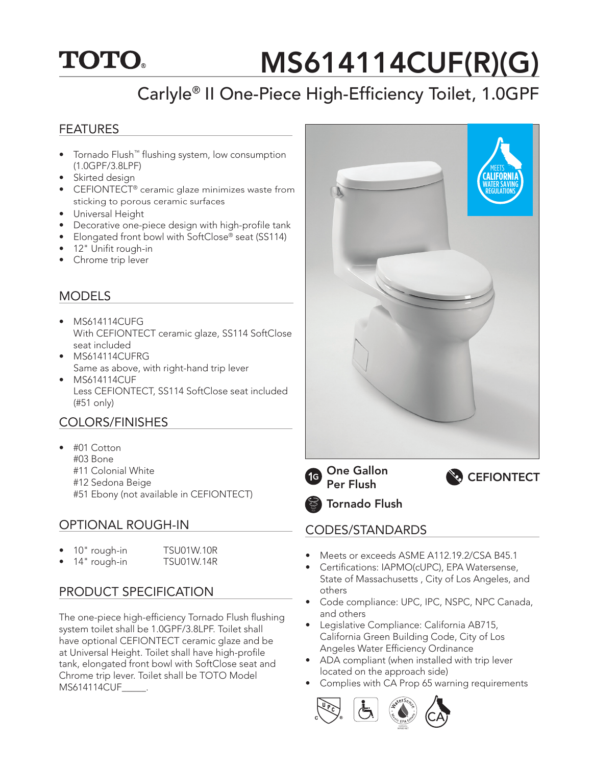## **TOTO.**

# MS614114CUF(R)(G)

## Carlyle® II One-Piece High-Efficiency Toilet, 1.0GPF

#### FEATURES

- Tornado Flush™ flushing system, low consumption (1.0GPF/3.8LPF)
- Skirted design
- CEFIONTECT<sup>®</sup> ceramic glaze minimizes waste from sticking to porous ceramic surfaces
- Universal Height
- Decorative one-piece design with high-profile tank
- Elongated front bowl with SoftClose® seat (SS114)
- 12" Unifit rough-in
- Chrome trip lever

#### MODELS

- MS614114CUFG With CEFIONTECT ceramic glaze, SS114 SoftClose seat included
- MS614114CUFRG Same as above, with right-hand trip lever
- MS614114CUF Less CEFIONTECT, SS114 SoftClose seat included (#51 only)

#### COLORS/FINISHES

• #01 Cotton #03 Bone #11 Colonial White #12 Sedona Beige #51 Ebony (not available in CEFIONTECT)

#### OPTIONAL ROUGH-IN

- 10" rough-in TSU01W.10R 14" rough-in TSU01W.14R
- 

#### PRODUCT SPECIFICATION

The one-piece high-efficiency Tornado Flush flushing system toilet shall be 1.0GPF/3.8LPF. Toilet shall have optional CEFIONTECT ceramic glaze and be at Universal Height. Toilet shall have high-profile tank, elongated front bowl with SoftClose seat and Chrome trip lever. Toilet shall be TOTO Model MS614114CUF



Tornado Flush

#### CODES/STANDARDS

- Meets or exceeds ASME A112.19.2/CSA B45.1
- Certifications: IAPMO(cUPC), EPA Watersense, State of Massachusetts , City of Los Angeles, and others
- Code compliance: UPC, IPC, NSPC, NPC Canada, and others
- Legislative Compliance: California AB715, California Green Building Code, City of Los Angeles Water Efficiency Ordinance
- ADA compliant (when installed with trip lever located on the approach side)
- Complies with CA Prop 65 warning requirements